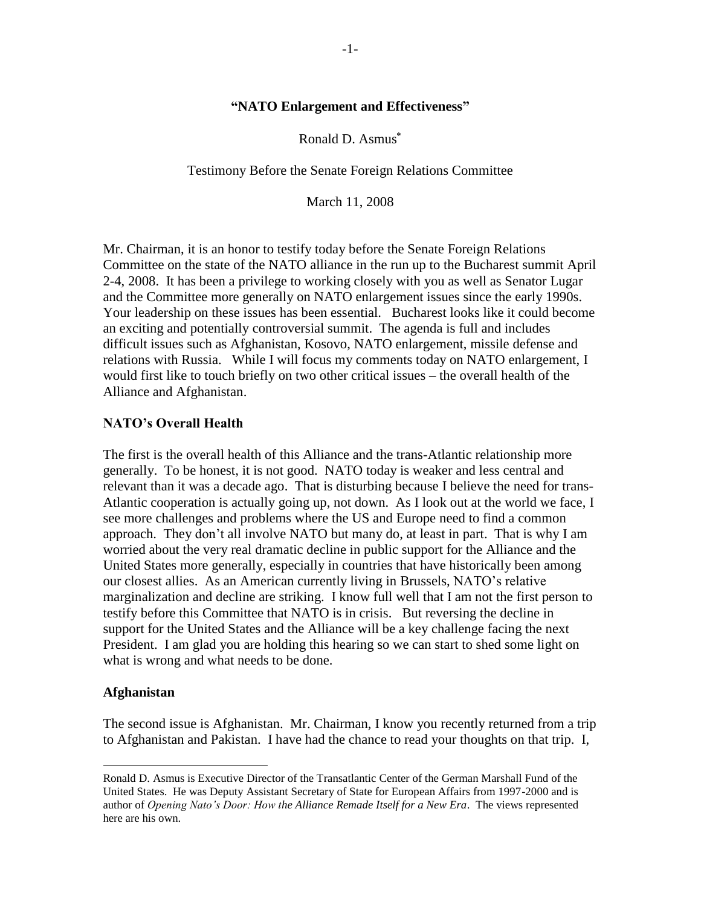#### **"NATO Enlargement and Effectiveness"**

Ronald D. Asmus

Testimony Before the Senate Foreign Relations Committee

March 11, 2008

Mr. Chairman, it is an honor to testify today before the Senate Foreign Relations Committee on the state of the NATO alliance in the run up to the Bucharest summit April 2-4, 2008. It has been a privilege to working closely with you as well as Senator Lugar and the Committee more generally on NATO enlargement issues since the early 1990s. Your leadership on these issues has been essential. Bucharest looks like it could become an exciting and potentially controversial summit. The agenda is full and includes difficult issues such as Afghanistan, Kosovo, NATO enlargement, missile defense and relations with Russia. While I will focus my comments today on NATO enlargement, I would first like to touch briefly on two other critical issues – the overall health of the Alliance and Afghanistan.

### **NATO's Overall Health**

The first is the overall health of this Alliance and the trans-Atlantic relationship more generally. To be honest, it is not good. NATO today is weaker and less central and relevant than it was a decade ago. That is disturbing because I believe the need for trans-Atlantic cooperation is actually going up, not down. As I look out at the world we face, I see more challenges and problems where the US and Europe need to find a common approach. They don"t all involve NATO but many do, at least in part. That is why I am worried about the very real dramatic decline in public support for the Alliance and the United States more generally, especially in countries that have historically been among our closest allies. As an American currently living in Brussels, NATO"s relative marginalization and decline are striking. I know full well that I am not the first person to testify before this Committee that NATO is in crisis. But reversing the decline in support for the United States and the Alliance will be a key challenge facing the next President. I am glad you are holding this hearing so we can start to shed some light on what is wrong and what needs to be done.

### **Afghanistan**

 $\overline{a}$ 

The second issue is Afghanistan. Mr. Chairman, I know you recently returned from a trip to Afghanistan and Pakistan. I have had the chance to read your thoughts on that trip. I,

Ronald D. Asmus is Executive Director of the Transatlantic Center of the German Marshall Fund of the United States. He was Deputy Assistant Secretary of State for European Affairs from 1997-2000 and is author of *Opening Nato's Door: How the Alliance Remade Itself for a New Era*. The views represented here are his own.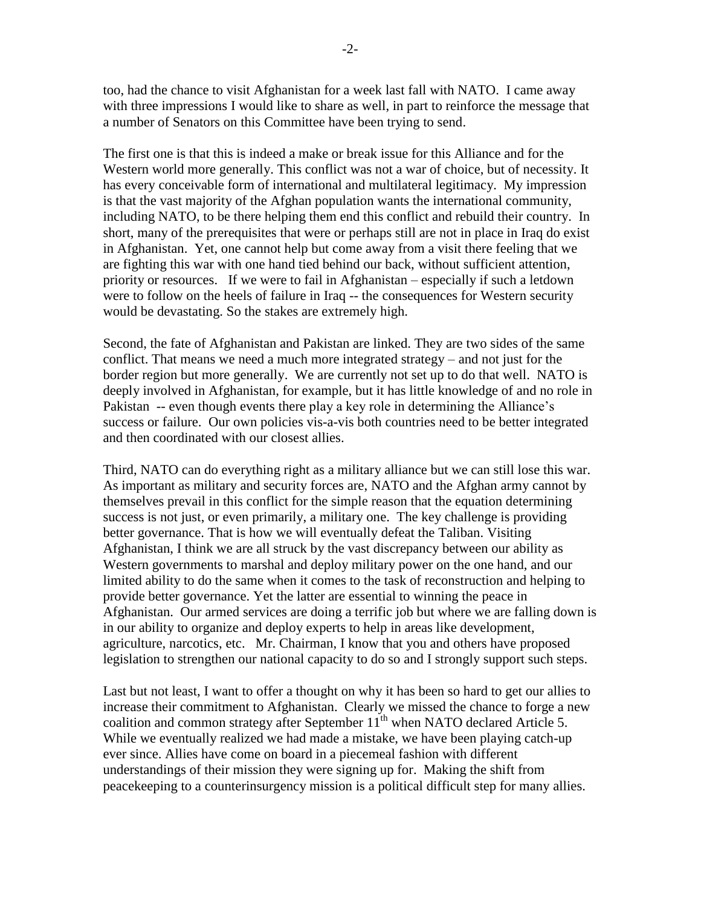too, had the chance to visit Afghanistan for a week last fall with NATO. I came away with three impressions I would like to share as well, in part to reinforce the message that a number of Senators on this Committee have been trying to send.

The first one is that this is indeed a make or break issue for this Alliance and for the Western world more generally. This conflict was not a war of choice, but of necessity. It has every conceivable form of international and multilateral legitimacy. My impression is that the vast majority of the Afghan population wants the international community, including NATO, to be there helping them end this conflict and rebuild their country. In short, many of the prerequisites that were or perhaps still are not in place in Iraq do exist in Afghanistan. Yet, one cannot help but come away from a visit there feeling that we are fighting this war with one hand tied behind our back, without sufficient attention, priority or resources. If we were to fail in Afghanistan – especially if such a letdown were to follow on the heels of failure in Iraq -- the consequences for Western security would be devastating. So the stakes are extremely high.

Second, the fate of Afghanistan and Pakistan are linked. They are two sides of the same conflict. That means we need a much more integrated strategy – and not just for the border region but more generally. We are currently not set up to do that well. NATO is deeply involved in Afghanistan, for example, but it has little knowledge of and no role in Pakistan -- even though events there play a key role in determining the Alliance's success or failure. Our own policies vis-a-vis both countries need to be better integrated and then coordinated with our closest allies.

Third, NATO can do everything right as a military alliance but we can still lose this war. As important as military and security forces are, NATO and the Afghan army cannot by themselves prevail in this conflict for the simple reason that the equation determining success is not just, or even primarily, a military one. The key challenge is providing better governance. That is how we will eventually defeat the Taliban. Visiting Afghanistan, I think we are all struck by the vast discrepancy between our ability as Western governments to marshal and deploy military power on the one hand, and our limited ability to do the same when it comes to the task of reconstruction and helping to provide better governance. Yet the latter are essential to winning the peace in Afghanistan. Our armed services are doing a terrific job but where we are falling down is in our ability to organize and deploy experts to help in areas like development, agriculture, narcotics, etc. Mr. Chairman, I know that you and others have proposed legislation to strengthen our national capacity to do so and I strongly support such steps.

Last but not least, I want to offer a thought on why it has been so hard to get our allies to increase their commitment to Afghanistan. Clearly we missed the chance to forge a new coalition and common strategy after September  $11<sup>th</sup>$  when NATO declared Article 5. While we eventually realized we had made a mistake, we have been playing catch-up ever since. Allies have come on board in a piecemeal fashion with different understandings of their mission they were signing up for. Making the shift from peacekeeping to a counterinsurgency mission is a political difficult step for many allies.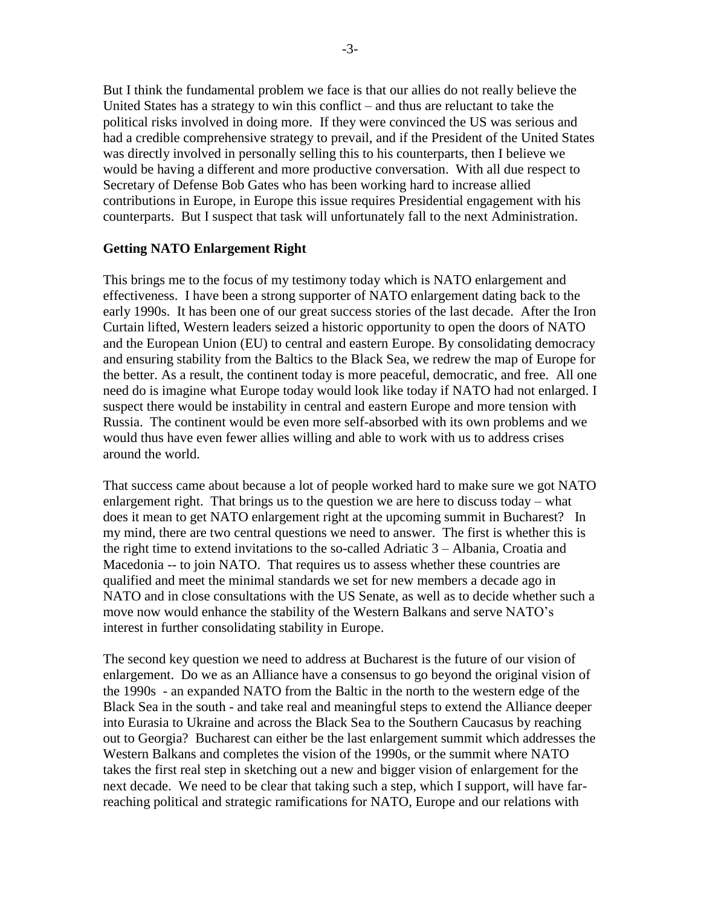But I think the fundamental problem we face is that our allies do not really believe the United States has a strategy to win this conflict – and thus are reluctant to take the political risks involved in doing more. If they were convinced the US was serious and had a credible comprehensive strategy to prevail, and if the President of the United States was directly involved in personally selling this to his counterparts, then I believe we would be having a different and more productive conversation. With all due respect to Secretary of Defense Bob Gates who has been working hard to increase allied contributions in Europe, in Europe this issue requires Presidential engagement with his counterparts. But I suspect that task will unfortunately fall to the next Administration.

### **Getting NATO Enlargement Right**

This brings me to the focus of my testimony today which is NATO enlargement and effectiveness. I have been a strong supporter of NATO enlargement dating back to the early 1990s. It has been one of our great success stories of the last decade. After the Iron Curtain lifted, Western leaders seized a historic opportunity to open the doors of NATO and the European Union (EU) to central and eastern Europe. By consolidating democracy and ensuring stability from the Baltics to the Black Sea, we redrew the map of Europe for the better. As a result, the continent today is more peaceful, democratic, and free. All one need do is imagine what Europe today would look like today if NATO had not enlarged. I suspect there would be instability in central and eastern Europe and more tension with Russia. The continent would be even more self-absorbed with its own problems and we would thus have even fewer allies willing and able to work with us to address crises around the world.

That success came about because a lot of people worked hard to make sure we got NATO enlargement right. That brings us to the question we are here to discuss today – what does it mean to get NATO enlargement right at the upcoming summit in Bucharest? In my mind, there are two central questions we need to answer. The first is whether this is the right time to extend invitations to the so-called Adriatic 3 – Albania, Croatia and Macedonia -- to join NATO. That requires us to assess whether these countries are qualified and meet the minimal standards we set for new members a decade ago in NATO and in close consultations with the US Senate, as well as to decide whether such a move now would enhance the stability of the Western Balkans and serve NATO"s interest in further consolidating stability in Europe.

The second key question we need to address at Bucharest is the future of our vision of enlargement. Do we as an Alliance have a consensus to go beyond the original vision of the 1990s - an expanded NATO from the Baltic in the north to the western edge of the Black Sea in the south - and take real and meaningful steps to extend the Alliance deeper into Eurasia to Ukraine and across the Black Sea to the Southern Caucasus by reaching out to Georgia? Bucharest can either be the last enlargement summit which addresses the Western Balkans and completes the vision of the 1990s, or the summit where NATO takes the first real step in sketching out a new and bigger vision of enlargement for the next decade. We need to be clear that taking such a step, which I support, will have farreaching political and strategic ramifications for NATO, Europe and our relations with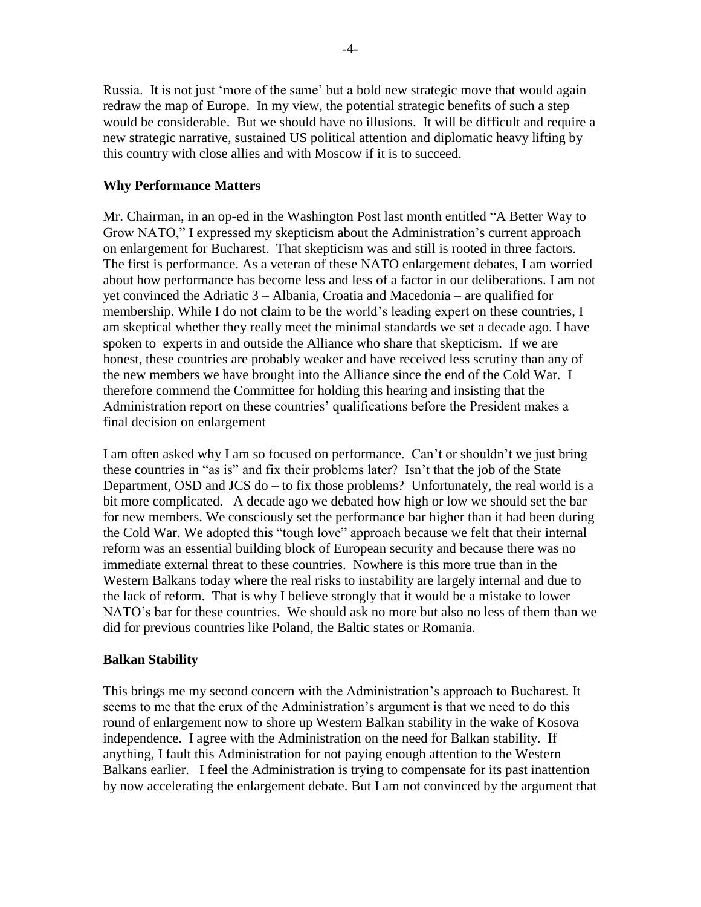Russia. It is not just 'more of the same' but a bold new strategic move that would again redraw the map of Europe. In my view, the potential strategic benefits of such a step would be considerable. But we should have no illusions. It will be difficult and require a new strategic narrative, sustained US political attention and diplomatic heavy lifting by this country with close allies and with Moscow if it is to succeed.

## **Why Performance Matters**

Mr. Chairman, in an op-ed in the Washington Post last month entitled "A Better Way to Grow NATO," I expressed my skepticism about the Administration"s current approach on enlargement for Bucharest. That skepticism was and still is rooted in three factors. The first is performance. As a veteran of these NATO enlargement debates, I am worried about how performance has become less and less of a factor in our deliberations. I am not yet convinced the Adriatic 3 – Albania, Croatia and Macedonia – are qualified for membership. While I do not claim to be the world"s leading expert on these countries, I am skeptical whether they really meet the minimal standards we set a decade ago. I have spoken to experts in and outside the Alliance who share that skepticism. If we are honest, these countries are probably weaker and have received less scrutiny than any of the new members we have brought into the Alliance since the end of the Cold War. I therefore commend the Committee for holding this hearing and insisting that the Administration report on these countries" qualifications before the President makes a final decision on enlargement

I am often asked why I am so focused on performance. Can't or shouldn't we just bring these countries in "as is" and fix their problems later? Isn"t that the job of the State Department, OSD and JCS do  $-$  to fix those problems? Unfortunately, the real world is a bit more complicated. A decade ago we debated how high or low we should set the bar for new members. We consciously set the performance bar higher than it had been during the Cold War. We adopted this "tough love" approach because we felt that their internal reform was an essential building block of European security and because there was no immediate external threat to these countries. Nowhere is this more true than in the Western Balkans today where the real risks to instability are largely internal and due to the lack of reform. That is why I believe strongly that it would be a mistake to lower NATO"s bar for these countries. We should ask no more but also no less of them than we did for previous countries like Poland, the Baltic states or Romania.

### **Balkan Stability**

This brings me my second concern with the Administration"s approach to Bucharest. It seems to me that the crux of the Administration"s argument is that we need to do this round of enlargement now to shore up Western Balkan stability in the wake of Kosova independence. I agree with the Administration on the need for Balkan stability. If anything, I fault this Administration for not paying enough attention to the Western Balkans earlier. I feel the Administration is trying to compensate for its past inattention by now accelerating the enlargement debate. But I am not convinced by the argument that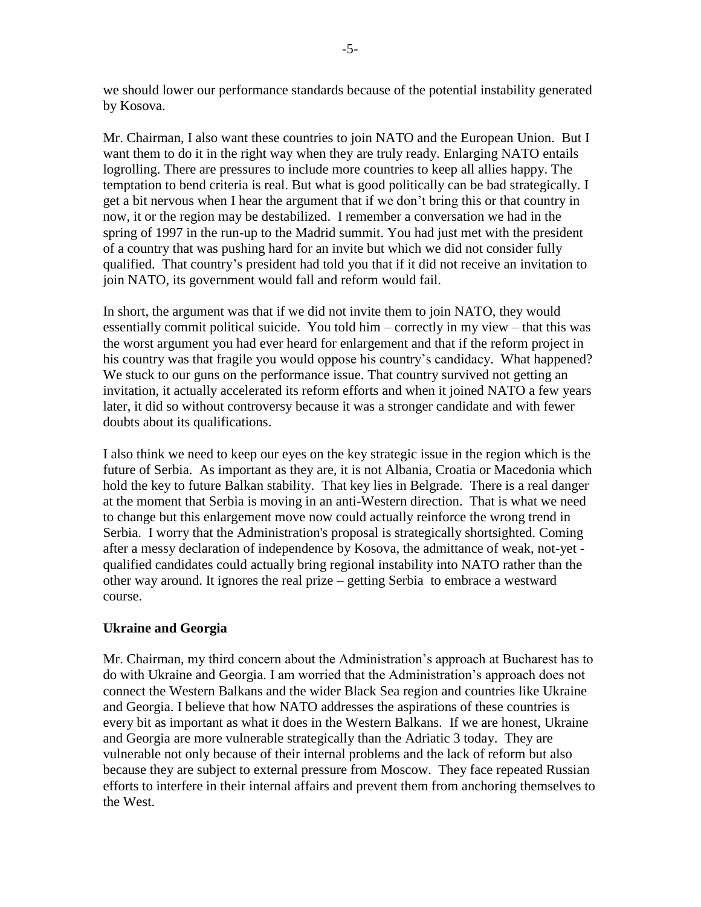we should lower our performance standards because of the potential instability generated by Kosova.

Mr. Chairman, I also want these countries to join NATO and the European Union. But I want them to do it in the right way when they are truly ready. Enlarging NATO entails logrolling. There are pressures to include more countries to keep all allies happy. The temptation to bend criteria is real. But what is good politically can be bad strategically. I get a bit nervous when I hear the argument that if we don"t bring this or that country in now, it or the region may be destabilized. I remember a conversation we had in the spring of 1997 in the run-up to the Madrid summit. You had just met with the president of a country that was pushing hard for an invite but which we did not consider fully qualified. That country"s president had told you that if it did not receive an invitation to join NATO, its government would fall and reform would fail.

In short, the argument was that if we did not invite them to join NATO, they would essentially commit political suicide. You told him – correctly in my view – that this was the worst argument you had ever heard for enlargement and that if the reform project in his country was that fragile you would oppose his country"s candidacy. What happened? We stuck to our guns on the performance issue. That country survived not getting an invitation, it actually accelerated its reform efforts and when it joined NATO a few years later, it did so without controversy because it was a stronger candidate and with fewer doubts about its qualifications.

I also think we need to keep our eyes on the key strategic issue in the region which is the future of Serbia. As important as they are, it is not Albania, Croatia or Macedonia which hold the key to future Balkan stability. That key lies in Belgrade. There is a real danger at the moment that Serbia is moving in an anti-Western direction. That is what we need to change but this enlargement move now could actually reinforce the wrong trend in Serbia. I worry that the Administration's proposal is strategically shortsighted. Coming after a messy declaration of independence by Kosova, the admittance of weak, not-yet qualified candidates could actually bring regional instability into NATO rather than the other way around. It ignores the real prize – getting Serbia to embrace a westward course.

# **Ukraine and Georgia**

Mr. Chairman, my third concern about the Administration"s approach at Bucharest has to do with Ukraine and Georgia. I am worried that the Administration"s approach does not connect the Western Balkans and the wider Black Sea region and countries like Ukraine and Georgia. I believe that how NATO addresses the aspirations of these countries is every bit as important as what it does in the Western Balkans. If we are honest, Ukraine and Georgia are more vulnerable strategically than the Adriatic 3 today. They are vulnerable not only because of their internal problems and the lack of reform but also because they are subject to external pressure from Moscow. They face repeated Russian efforts to interfere in their internal affairs and prevent them from anchoring themselves to the West.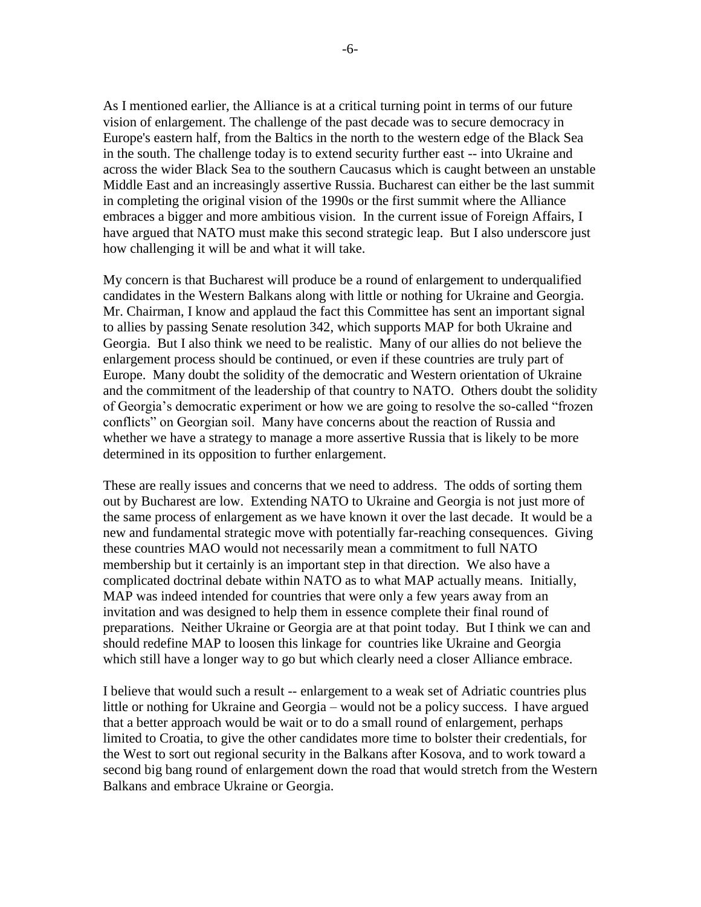As I mentioned earlier, the Alliance is at a critical turning point in terms of our future vision of enlargement. The challenge of the past decade was to secure democracy in Europe's eastern half, from the Baltics in the north to the western edge of the Black Sea in the south. The challenge today is to extend security further east -- into Ukraine and across the wider Black Sea to the southern Caucasus which is caught between an unstable Middle East and an increasingly assertive Russia. Bucharest can either be the last summit in completing the original vision of the 1990s or the first summit where the Alliance embraces a bigger and more ambitious vision. In the current issue of Foreign Affairs, I have argued that NATO must make this second strategic leap. But I also underscore just how challenging it will be and what it will take.

My concern is that Bucharest will produce be a round of enlargement to underqualified candidates in the Western Balkans along with little or nothing for Ukraine and Georgia. Mr. Chairman, I know and applaud the fact this Committee has sent an important signal to allies by passing Senate resolution 342, which supports MAP for both Ukraine and Georgia. But I also think we need to be realistic. Many of our allies do not believe the enlargement process should be continued, or even if these countries are truly part of Europe. Many doubt the solidity of the democratic and Western orientation of Ukraine and the commitment of the leadership of that country to NATO. Others doubt the solidity of Georgia"s democratic experiment or how we are going to resolve the so-called "frozen conflicts" on Georgian soil. Many have concerns about the reaction of Russia and whether we have a strategy to manage a more assertive Russia that is likely to be more determined in its opposition to further enlargement.

These are really issues and concerns that we need to address. The odds of sorting them out by Bucharest are low. Extending NATO to Ukraine and Georgia is not just more of the same process of enlargement as we have known it over the last decade. It would be a new and fundamental strategic move with potentially far-reaching consequences. Giving these countries MAO would not necessarily mean a commitment to full NATO membership but it certainly is an important step in that direction. We also have a complicated doctrinal debate within NATO as to what MAP actually means. Initially, MAP was indeed intended for countries that were only a few years away from an invitation and was designed to help them in essence complete their final round of preparations. Neither Ukraine or Georgia are at that point today. But I think we can and should redefine MAP to loosen this linkage for countries like Ukraine and Georgia which still have a longer way to go but which clearly need a closer Alliance embrace.

I believe that would such a result -- enlargement to a weak set of Adriatic countries plus little or nothing for Ukraine and Georgia – would not be a policy success. I have argued that a better approach would be wait or to do a small round of enlargement, perhaps limited to Croatia, to give the other candidates more time to bolster their credentials, for the West to sort out regional security in the Balkans after Kosova, and to work toward a second big bang round of enlargement down the road that would stretch from the Western Balkans and embrace Ukraine or Georgia.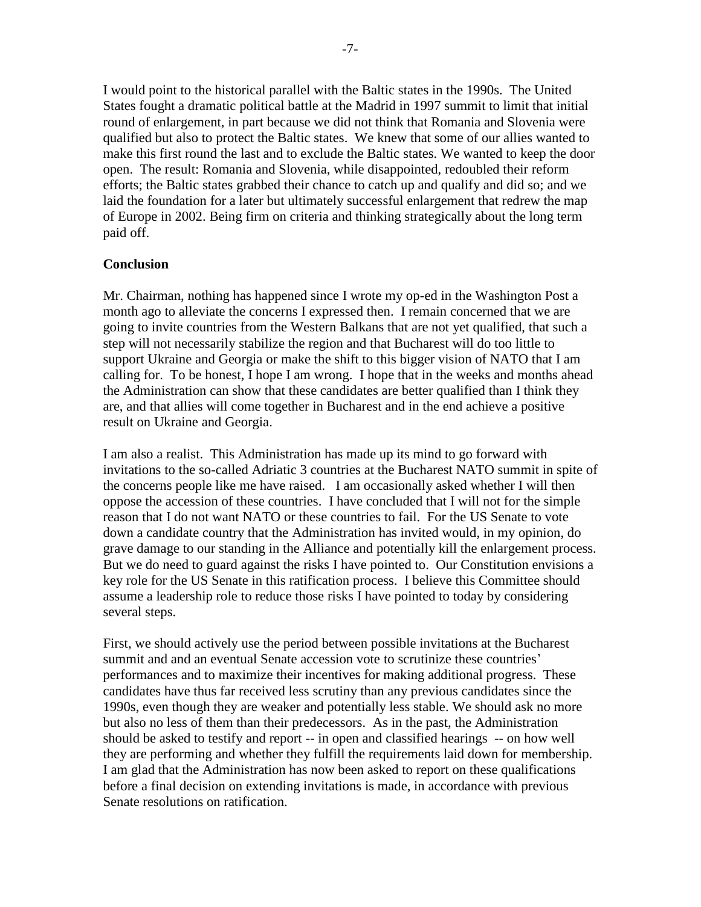I would point to the historical parallel with the Baltic states in the 1990s. The United States fought a dramatic political battle at the Madrid in 1997 summit to limit that initial round of enlargement, in part because we did not think that Romania and Slovenia were qualified but also to protect the Baltic states. We knew that some of our allies wanted to make this first round the last and to exclude the Baltic states. We wanted to keep the door open. The result: Romania and Slovenia, while disappointed, redoubled their reform efforts; the Baltic states grabbed their chance to catch up and qualify and did so; and we laid the foundation for a later but ultimately successful enlargement that redrew the map of Europe in 2002. Being firm on criteria and thinking strategically about the long term paid off.

## **Conclusion**

Mr. Chairman, nothing has happened since I wrote my op-ed in the Washington Post a month ago to alleviate the concerns I expressed then. I remain concerned that we are going to invite countries from the Western Balkans that are not yet qualified, that such a step will not necessarily stabilize the region and that Bucharest will do too little to support Ukraine and Georgia or make the shift to this bigger vision of NATO that I am calling for. To be honest, I hope I am wrong. I hope that in the weeks and months ahead the Administration can show that these candidates are better qualified than I think they are, and that allies will come together in Bucharest and in the end achieve a positive result on Ukraine and Georgia.

I am also a realist. This Administration has made up its mind to go forward with invitations to the so-called Adriatic 3 countries at the Bucharest NATO summit in spite of the concerns people like me have raised. I am occasionally asked whether I will then oppose the accession of these countries. I have concluded that I will not for the simple reason that I do not want NATO or these countries to fail. For the US Senate to vote down a candidate country that the Administration has invited would, in my opinion, do grave damage to our standing in the Alliance and potentially kill the enlargement process. But we do need to guard against the risks I have pointed to. Our Constitution envisions a key role for the US Senate in this ratification process. I believe this Committee should assume a leadership role to reduce those risks I have pointed to today by considering several steps.

First, we should actively use the period between possible invitations at the Bucharest summit and and an eventual Senate accession vote to scrutinize these countries' performances and to maximize their incentives for making additional progress. These candidates have thus far received less scrutiny than any previous candidates since the 1990s, even though they are weaker and potentially less stable. We should ask no more but also no less of them than their predecessors. As in the past, the Administration should be asked to testify and report -- in open and classified hearings -- on how well they are performing and whether they fulfill the requirements laid down for membership. I am glad that the Administration has now been asked to report on these qualifications before a final decision on extending invitations is made, in accordance with previous Senate resolutions on ratification.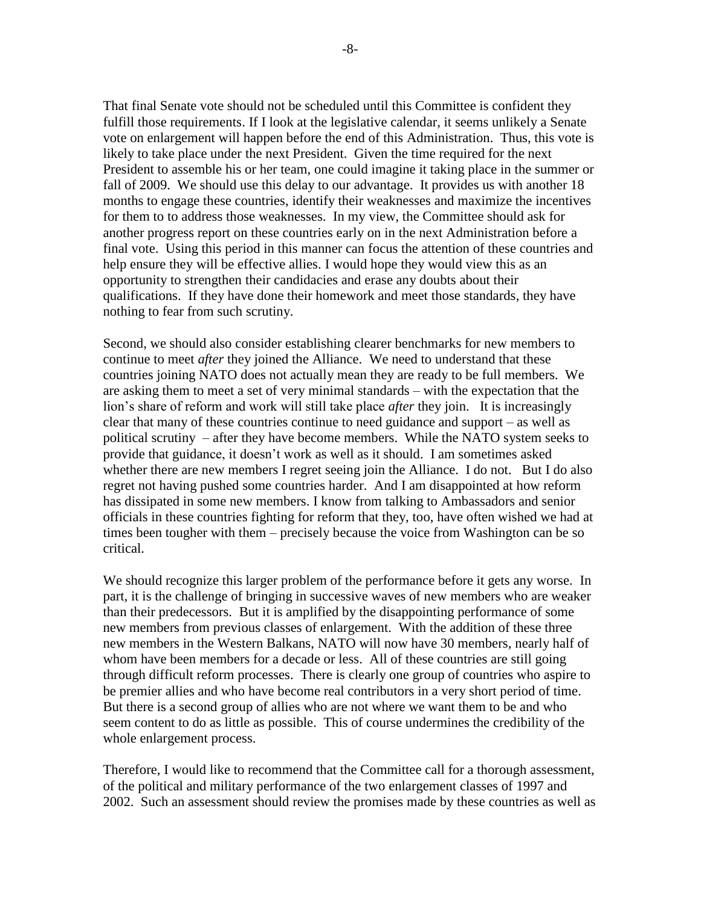That final Senate vote should not be scheduled until this Committee is confident they fulfill those requirements. If I look at the legislative calendar, it seems unlikely a Senate vote on enlargement will happen before the end of this Administration. Thus, this vote is likely to take place under the next President. Given the time required for the next President to assemble his or her team, one could imagine it taking place in the summer or fall of 2009. We should use this delay to our advantage. It provides us with another 18 months to engage these countries, identify their weaknesses and maximize the incentives for them to to address those weaknesses. In my view, the Committee should ask for another progress report on these countries early on in the next Administration before a final vote. Using this period in this manner can focus the attention of these countries and help ensure they will be effective allies. I would hope they would view this as an opportunity to strengthen their candidacies and erase any doubts about their qualifications. If they have done their homework and meet those standards, they have nothing to fear from such scrutiny.

Second, we should also consider establishing clearer benchmarks for new members to continue to meet *after* they joined the Alliance. We need to understand that these countries joining NATO does not actually mean they are ready to be full members. We are asking them to meet a set of very minimal standards – with the expectation that the lion"s share of reform and work will still take place *after* they join. It is increasingly clear that many of these countries continue to need guidance and support – as well as political scrutiny – after they have become members. While the NATO system seeks to provide that guidance, it doesn"t work as well as it should. I am sometimes asked whether there are new members I regret seeing join the Alliance. I do not. But I do also regret not having pushed some countries harder. And I am disappointed at how reform has dissipated in some new members. I know from talking to Ambassadors and senior officials in these countries fighting for reform that they, too, have often wished we had at times been tougher with them – precisely because the voice from Washington can be so critical.

We should recognize this larger problem of the performance before it gets any worse. In part, it is the challenge of bringing in successive waves of new members who are weaker than their predecessors. But it is amplified by the disappointing performance of some new members from previous classes of enlargement. With the addition of these three new members in the Western Balkans, NATO will now have 30 members, nearly half of whom have been members for a decade or less. All of these countries are still going through difficult reform processes. There is clearly one group of countries who aspire to be premier allies and who have become real contributors in a very short period of time. But there is a second group of allies who are not where we want them to be and who seem content to do as little as possible. This of course undermines the credibility of the whole enlargement process.

Therefore, I would like to recommend that the Committee call for a thorough assessment, of the political and military performance of the two enlargement classes of 1997 and 2002. Such an assessment should review the promises made by these countries as well as